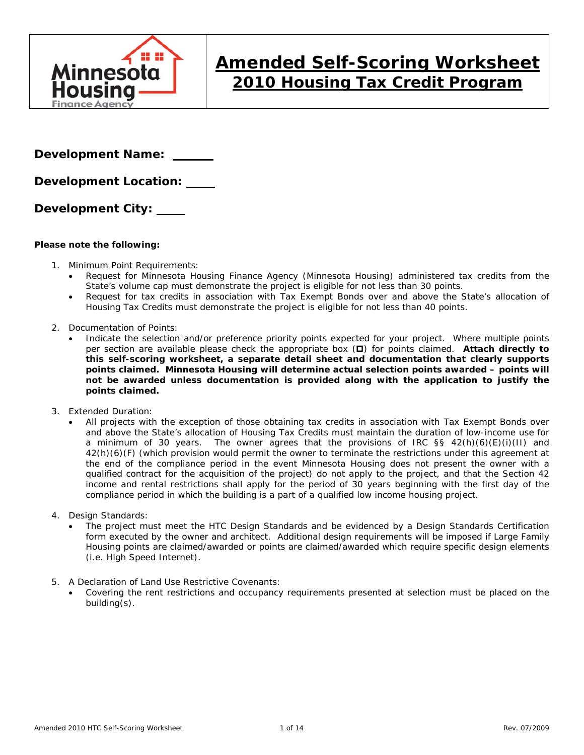

# **Amended Self-Scoring Worksheet 2010 Housing Tax Credit Program**

**Development Name:** 

**Development Location:** 

**Development City:** 

### **Please note the following:**

- 1. Minimum Point Requirements:
	- Request for Minnesota Housing Finance Agency (Minnesota Housing) administered tax credits from the State's volume cap must demonstrate the project is eligible for not less than 30 points.
	- Request for tax credits in association with Tax Exempt Bonds over and above the State's allocation of Housing Tax Credits must demonstrate the project is eligible for not less than 40 points.
- 2. Documentation of Points:
	- Indicate the selection and/or preference priority points expected for your project. Where multiple points per section are available please check the appropriate box (D) for points claimed. Attach directly to **this self-scoring worksheet, a separate detail sheet and documentation that clearly supports points claimed. Minnesota Housing will determine actual selection points awarded – points will not be awarded unless documentation is provided along with the application to justify the points claimed.**
- 3. Extended Duration:
	- All projects with the exception of those obtaining tax credits in association with Tax Exempt Bonds over and above the State's allocation of Housing Tax Credits must maintain the duration of low-income use for a minimum of 30 years. The owner agrees that the provisions of IRC §§ 42(h)(6)(E)(i)(II) and 42(h)(6)(F) (which provision would permit the owner to terminate the restrictions under this agreement at the end of the compliance period in the event Minnesota Housing does not present the owner with a qualified contract for the acquisition of the project) do not apply to the project, and that the Section 42 income and rental restrictions shall apply for the period of 30 years beginning with the first day of the compliance period in which the building is a part of a qualified low income housing project.
- 4. Design Standards:
	- The project must meet the HTC Design Standards and be evidenced by a Design Standards Certification form executed by the owner and architect. Additional design requirements will be imposed if Large Family Housing points are claimed/awarded or points are claimed/awarded which require specific design elements (i.e. High Speed Internet).
- 5. A Declaration of Land Use Restrictive Covenants:
	- Covering the rent restrictions and occupancy requirements presented at selection must be placed on the building(s).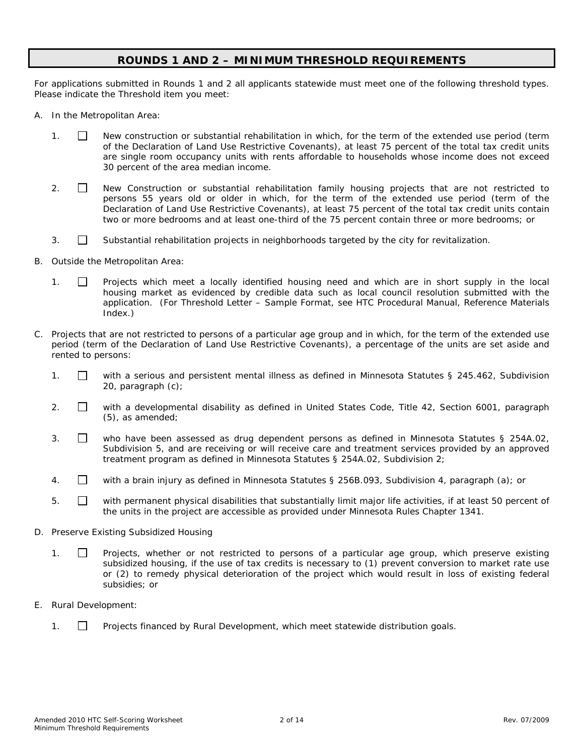# **ROUNDS 1 AND 2 – MINIMUM THRESHOLD REQUIREMENTS**

For applications submitted in Rounds 1 and 2 all applicants statewide must meet one of the following threshold types. Please indicate the Threshold item you meet:

- A. In the Metropolitan Area:
	- 1. New construction or substantial rehabilitation in which, for the term of the extended use period (term of the Declaration of Land Use Restrictive Covenants), at least 75 percent of the total tax credit units are single room occupancy units with rents affordable to households whose income does not exceed 30 percent of the area median income.
	- 2.  $\Box$  New Construction or substantial rehabilitation family housing projects that are not restricted to persons 55 years old or older in which, for the term of the extended use period (term of the Declaration of Land Use Restrictive Covenants), at least 75 percent of the total tax credit units contain two or more bedrooms and at least one-third of the 75 percent contain three or more bedrooms; or
	- 3.  $\Box$  Substantial rehabilitation projects in neighborhoods targeted by the city for revitalization.
- B. Outside the Metropolitan Area:
	- 1.  $\Box$  Projects which meet a locally identified housing need and which are in short supply in the local housing market as evidenced by credible data such as local council resolution submitted with the application. (For Threshold Letter – Sample Format, see HTC Procedural Manual, Reference Materials Index.)
- C. Projects that are not restricted to persons of a particular age group and in which, for the term of the extended use period (term of the Declaration of Land Use Restrictive Covenants), a percentage of the units are set aside and rented to persons:
	- 1.  $\Box$  with a serious and persistent mental illness as defined in Minnesota Statutes § 245.462, Subdivision 20, paragraph (c);
	- 2.  $\Box$  with a developmental disability as defined in United States Code, Title 42, Section 6001, paragraph (5), as amended;
	- 3. who have been assessed as drug dependent persons as defined in Minnesota Statutes § 254A.02, Subdivision 5, and are receiving or will receive care and treatment services provided by an approved treatment program as defined in Minnesota Statutes § 254A.02, Subdivision 2;
	- 4. with a brain injury as defined in Minnesota Statutes § 256B.093, Subdivision 4, paragraph (a); or
	- 5.  $\Box$  with permanent physical disabilities that substantially limit major life activities, if at least 50 percent of the units in the project are accessible as provided under Minnesota Rules Chapter 1341.
- D. Preserve Existing Subsidized Housing
	- 1. **I** Projects, whether or not restricted to persons of a particular age group, which preserve existing subsidized housing, if the use of tax credits is necessary to (1) prevent conversion to market rate use or (2) to remedy physical deterioration of the project which would result in loss of existing federal subsidies; or
- E. Rural Development:
	- 1. Projects financed by Rural Development, which meet statewide distribution goals.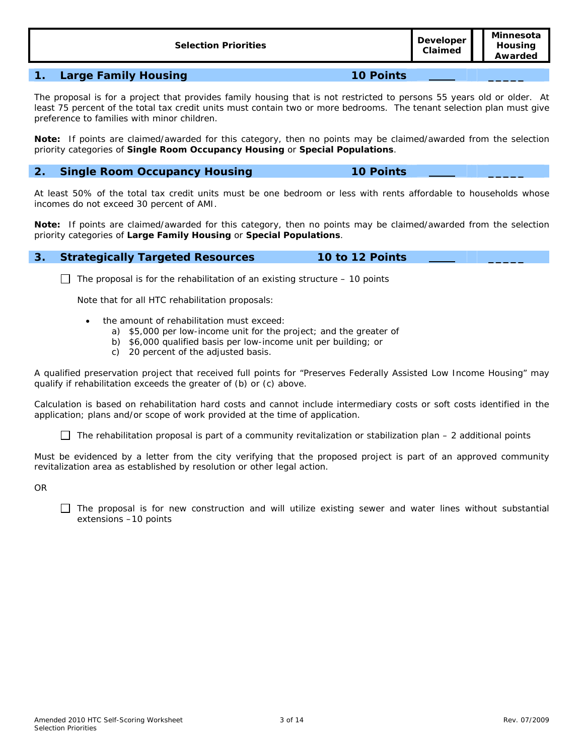| <b>Selection Priorities</b> | <b>Developer</b><br>Claimed | Minnesota<br>Housing<br>Awarded |
|-----------------------------|-----------------------------|---------------------------------|
|                             |                             |                                 |
|                             |                             |                                 |

#### **1. Large Family Housing 10 Points \_\_\_\_\_**

The proposal is for a project that provides family housing that is not restricted to persons 55 years old or older. At least 75 percent of the total tax credit units must contain two or more bedrooms. The tenant selection plan must give preference to families with minor children.

**Note:** If points are claimed/awarded for this category, then no points may be claimed/awarded from the selection priority categories of **Single Room Occupancy Housing** or **Special Populations**.

### **2. Single Room Occupancy Housing 10 Points \_\_\_\_\_**

At least 50% of the total tax credit units must be one bedroom or less with rents affordable to households whose incomes do not exceed 30 percent of AMI.

**Note:** If points are claimed/awarded for this category, then no points may be claimed/awarded from the selection priority categories of **Large Family Housing** or **Special Populations**.

#### **3. Strategically Targeted Resources 10 to 12 Points \_\_\_\_\_**

The proposal is for the rehabilitation of an existing structure – *10 points*

Note that for all HTC rehabilitation proposals:

- the amount of rehabilitation must exceed:
	- a) \$5,000 per low-income unit for the project; and the greater of
	- b) \$6,000 qualified basis per low-income unit per building; or
	- c) 20 percent of the adjusted basis.

A qualified preservation project that received full points for "Preserves Federally Assisted Low Income Housing" may qualify if rehabilitation exceeds the greater of (b) or (c) above.

Calculation is based on rehabilitation hard costs and cannot include intermediary costs or soft costs identified in the application; plans and/or scope of work provided at the time of application.

The rehabilitation proposal is part of a community revitalization or stabilization plan – *2 additional points*

Must be evidenced by a letter from the city verifying that the proposed project is part of an approved community revitalization area as established by resolution or other legal action.

OR

 $\Box$  The proposal is for new construction and will utilize existing sewer and water lines without substantial extensions –*10 points*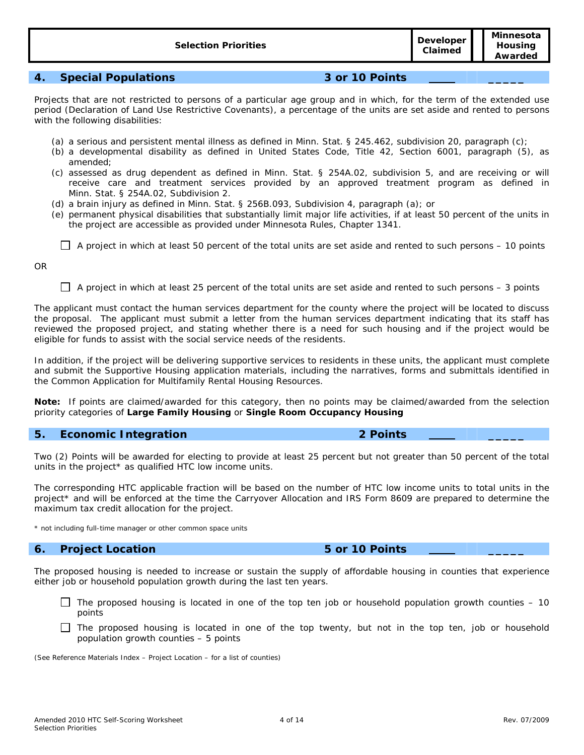# **4. Special Populations 3 or 10 Points \_\_\_\_\_**

Projects that are not restricted to persons of a particular age group and in which, for the term of the extended use period (Declaration of Land Use Restrictive Covenants), a percentage of the units are set aside and rented to persons with the following disabilities:

- (a) a serious and persistent mental illness as defined in Minn. Stat. § 245.462, subdivision 20, paragraph (c);
- (b) a developmental disability as defined in United States Code, Title 42, Section 6001, paragraph (5), as amended;
- (c) assessed as drug dependent as defined in Minn. Stat. § 254A.02, subdivision 5, and are receiving or will receive care and treatment services provided by an approved treatment program as defined in Minn. Stat. § 254A.02, Subdivision 2.
- (d) a brain injury as defined in Minn. Stat. § 256B.093, Subdivision 4, paragraph (a); or
- (e) permanent physical disabilities that substantially limit major life activities, if at least 50 percent of the units in the project are accessible as provided under Minnesota Rules, Chapter 1341.

A project in which at least 50 percent of the total units are set aside and rented to such persons – *10 points*

OR

A project in which at least 25 percent of the total units are set aside and rented to such persons – *3 points*

The applicant must contact the human services department for the county where the project will be located to discuss the proposal. The applicant must submit a letter from the human services department indicating that its staff has reviewed the proposed project, and stating whether there is a need for such housing and if the project would be eligible for funds to assist with the social service needs of the residents.

In addition, if the project will be delivering supportive services to residents in these units, the applicant must complete and submit the Supportive Housing application materials, including the narratives, forms and submittals identified in the Common Application for Multifamily Rental Housing Resources.

**Note:** If points are claimed/awarded for this category, then no points may be claimed/awarded from the selection priority categories of **Large Family Housing** or **Single Room Occupancy Housing**

### **5. Economic Integration 2 Points**

Two (2) Points will be awarded for electing to provide at least 25 percent but not greater than 50 percent of the total units in the project\* as qualified HTC low income units.

The corresponding HTC applicable fraction will be based on the number of HTC low income units to total units in the project\* and will be enforced at the time the Carryover Allocation and IRS Form 8609 are prepared to determine the maximum tax credit allocation for the project.

\* not including full-time manager or other common space units

# **6. Project Location 5 or 10 Points \_\_\_\_\_**

The proposed housing is needed to increase or sustain the supply of affordable housing in counties that experience either job or household population growth during the last ten years.

- $\Box$  The proposed housing is located in one of the top ten job or household population growth counties  $-10$ *points*
- $\Box$  The proposed housing is located in one of the top twenty, but not in the top ten, job or household population growth counties – *5 points*

(See Reference Materials Index – Project Location – for a list of counties)

**Minnesota Housing Awarded**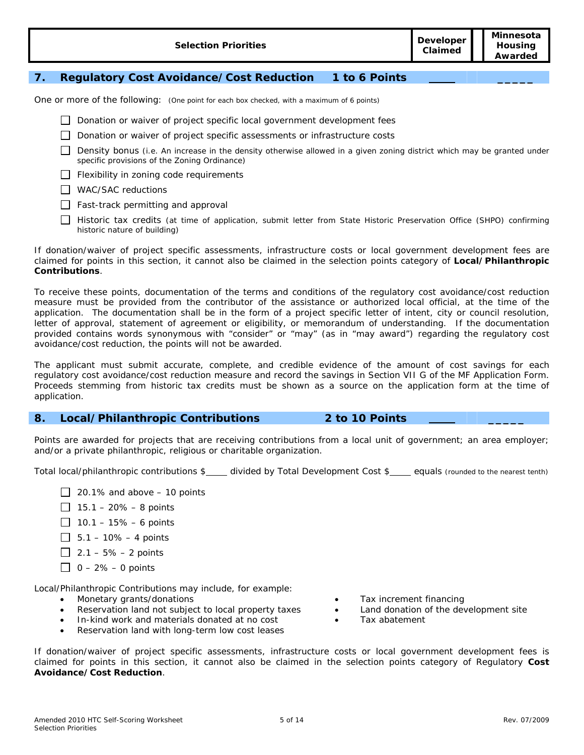| <b>Selection Priorities</b> | Developer<br>Claimed | Minnesota<br><b>Housing</b><br>Awarded |
|-----------------------------|----------------------|----------------------------------------|
|-----------------------------|----------------------|----------------------------------------|

# **7. Regulatory Cost Avoidance/Cost Reduction 1 to 6 Points \_\_\_\_\_**

One or more of the following: (One point for each box checked, with a maximum of 6 points)

- Donation or waiver of project specific local government development fees
- Donation or waiver of project specific assessments or infrastructure costs
- Density bonus (i.e. An increase in the density otherwise allowed in a given zoning district which may be granted under specific provisions of the Zoning Ordinance)
- $\Box$  Flexibility in zoning code requirements
- WAC/SAC reductions
- $\Box$  Fast-track permitting and approval
- Historic tax credits (at time of application, submit letter from State Historic Preservation Office (SHPO) confirming historic nature of building)

If donation/waiver of project specific assessments, infrastructure costs or local government development fees are claimed for points in this section, it cannot also be claimed in the selection points category of **Local/Philanthropic Contributions**.

To receive these points, documentation of the terms and conditions of the regulatory cost avoidance/cost reduction measure must be provided from the contributor of the assistance or authorized local official, at the time of the application. The documentation shall be in the form of a project specific letter of intent, city or council resolution, letter of approval, statement of agreement or eligibility, or memorandum of understanding. If the documentation provided contains words synonymous with "consider" or "may" (as in "may award") regarding the regulatory cost avoidance/cost reduction, the points will not be awarded.

The applicant must submit accurate, complete, and credible evidence of the amount of cost savings for each regulatory cost avoidance/cost reduction measure and record the savings in Section VII G of the MF Application Form. Proceeds stemming from historic tax credits must be shown as a source on the application form at the time of application.

#### **8. Local/Philanthropic Contributions 2 to 10 Points \_\_\_\_\_**

Points are awarded for projects that are receiving contributions from a local unit of government; an area employer; and/or a private philanthropic, religious or charitable organization.

Total local/philanthropic contributions \$\_\_\_\_ divided by Total Development Cost \$\_\_\_\_ equals (rounded to the nearest tenth)

- 20.1% and above *10 points*
- $15.1 20\% 8$  points
- 10.1 15% *6 points*
- 5.1 10% *4 points*
- 2.1 5% *2 points*
- 0 2% *0 points*

Local/Philanthropic Contributions may include, for example:

- 
- Reservation land not subject to local property taxes Land donation of the development site
- In-kind work and materials donated at no cost  $\bullet$  Tax abatement
- Reservation land with long-term low cost leases
- Monetary grants/donations Tax increment financing
	-
	-

If donation/waiver of project specific assessments, infrastructure costs or local government development fees is claimed for points in this section, it cannot also be claimed in the selection points category of Regulatory **Cost Avoidance/Cost Reduction**.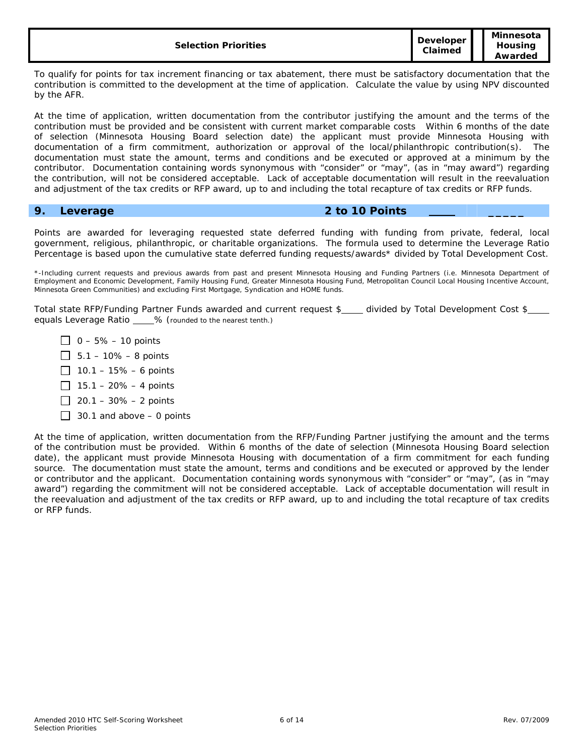| <b>Selection Priorities</b> | <b>Developer</b><br>Claimed | Minnesota<br>Housina<br>Awarded |
|-----------------------------|-----------------------------|---------------------------------|
|-----------------------------|-----------------------------|---------------------------------|

To qualify for points for tax increment financing or tax abatement, there must be satisfactory documentation that the contribution is committed to the development at the time of application. Calculate the value by using NPV discounted by the AFR.

At the time of application, written documentation from the contributor justifying the amount and the terms of the contribution must be provided and be consistent with current market comparable costs Within 6 months of the date of selection (Minnesota Housing Board selection date) the applicant must provide Minnesota Housing with documentation of a firm commitment, authorization or approval of the local/philanthropic contribution(s). The documentation must state the amount, terms and conditions and be executed or approved at a minimum by the contributor. Documentation containing words synonymous with "consider" or "may", (as in "may award") regarding the contribution, will not be considered acceptable. Lack of acceptable documentation will result in the reevaluation and adjustment of the tax credits or RFP award, up to and including the total recapture of tax credits or RFP funds.

### **9. Leverage 2 to 10 Points \_\_\_\_\_**

Points are awarded for leveraging requested state deferred funding with funding from private, federal, local government, religious, philanthropic, or charitable organizations. The formula used to determine the Leverage Ratio Percentage is based upon the cumulative state deferred funding requests/awards\* divided by Total Development Cost.

\*-Including current requests and previous awards from past and present Minnesota Housing and Funding Partners (i.e. Minnesota Department of Employment and Economic Development, Family Housing Fund, Greater Minnesota Housing Fund, Metropolitan Council Local Housing Incentive Account, Minnesota Green Communities) and excluding First Mortgage, Syndication and HOME funds.

Total state RFP/Funding Partner Funds awarded and current request \$\_\_\_ divided by Total Development Cost \$\_\_ equals Leverage Ratio % (rounded to the nearest tenth.)

- 0 5% *10 points*
- 5.1 10% *8 points*
- 10.1 15% *6 points*
- 15.1 20% *4 points*
- 20.1 30% *2 points*
- 30.1 and above *0 points*

At the time of application, written documentation from the RFP/Funding Partner justifying the amount and the terms of the contribution must be provided. Within 6 months of the date of selection (Minnesota Housing Board selection date), the applicant must provide Minnesota Housing with documentation of a firm commitment for each funding source. The documentation must state the amount, terms and conditions and be executed or approved by the lender or contributor and the applicant. Documentation containing words synonymous with "consider" or "may", (as in "may award") regarding the commitment will not be considered acceptable. Lack of acceptable documentation will result in the reevaluation and adjustment of the tax credits or RFP award, up to and including the total recapture of tax credits or RFP funds.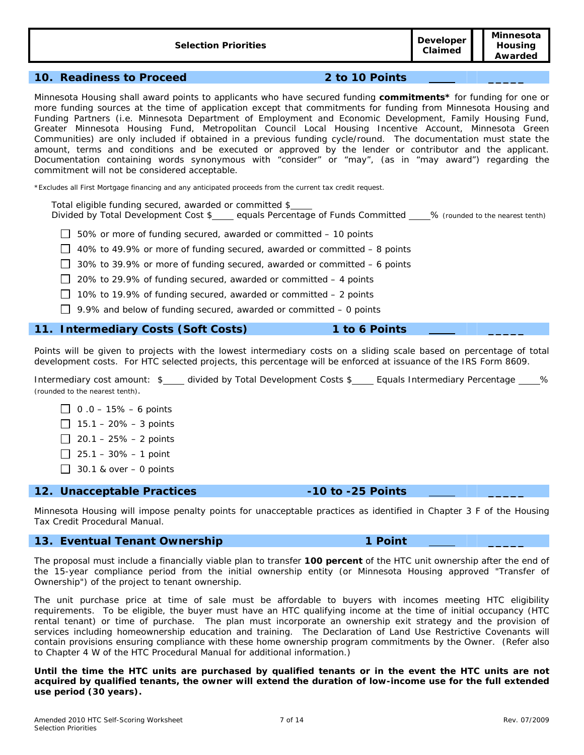**10. Readiness to Proceed 2 to 10 Points \_\_\_\_\_** 

Minnesota Housing shall award points to applicants who have secured funding **commitments\*** for funding for one or more funding sources at the time of application except that commitments for funding from Minnesota Housing and Funding Partners (i.e. Minnesota Department of Employment and Economic Development, Family Housing Fund, Greater Minnesota Housing Fund, Metropolitan Council Local Housing Incentive Account, Minnesota Green Communities) are only included if obtained in a previous funding cycle/round. The documentation must state the amount, terms and conditions and be executed or approved by the lender or contributor and the applicant. Documentation containing words synonymous with "consider" or "may", (as in "may award") regarding the commitment will not be considered acceptable.

\*Excludes all First Mortgage financing and any anticipated proceeds from the current tax credit request.

Total eligible funding secured, awarded or committed \$

Divided by Total Development Cost \$\_\_\_\_ equals Percentage of Funds Committed \_\_\_\_% (rounded to the nearest tenth)

- 50% or more of funding secured, awarded or committed *10 points*
- 40% to 49.9% or more of funding secured, awarded or committed *8 points*

30% to 39.9% or more of funding secured, awarded or committed – *6 points* 

- 20% to 29.9% of funding secured, awarded or committed 4 *points*
- 10% to 19.9% of funding secured, awarded or committed 2 *points*
- 9.9% and below of funding secured, awarded or committed *0 points*

#### **11. Intermediary Costs (Soft Costs) 1 to 6 Points \_\_\_\_\_**

Points will be given to projects with the lowest intermediary costs on a sliding scale based on percentage of total development costs. For HTC selected projects, this percentage will be enforced at issuance of the IRS Form 8609.

Intermediary cost amount: \$ \_\_\_ divided by Total Development Costs \$ \_\_\_ Equals Intermediary Percentage \_\_\_ % (rounded to the nearest tenth).

- 0 .0 15% *6 points*
- 15.1 20% *3 points*
- 20.1 25% *2 points*
- 25.1 30% *1 point*
- 30.1 & over *0 points*

#### **12. Unacceptable Practices -10 to -25 Points \_\_\_\_\_**

Minnesota Housing will impose penalty points for unacceptable practices as identified in Chapter 3 F of the Housing Tax Credit Procedural Manual.

## **13. Eventual Tenant Ownership 1 Point \_\_\_\_\_**

The proposal must include a financially viable plan to transfer **100 percent** of the HTC unit ownership after the end of the 15-year compliance period from the initial ownership entity (or Minnesota Housing approved "Transfer of Ownership") of the project to tenant ownership.

The unit purchase price at time of sale must be affordable to buyers with incomes meeting HTC eligibility requirements. To be eligible, the buyer must have an HTC qualifying income at the time of initial occupancy (HTC rental tenant) or time of purchase. The plan must incorporate an ownership exit strategy and the provision of services including homeownership education and training. The Declaration of Land Use Restrictive Covenants will contain provisions ensuring compliance with these home ownership program commitments by the Owner. (Refer also to Chapter 4 W of the HTC Procedural Manual for additional information.)

**Until the time the HTC units are purchased by qualified tenants or in the event the HTC units are not acquired by qualified tenants, the owner will extend the duration of low-income use for the full extended use period (30 years).** 

#### 7 of 14 Rev. 07/2009

**Claimed**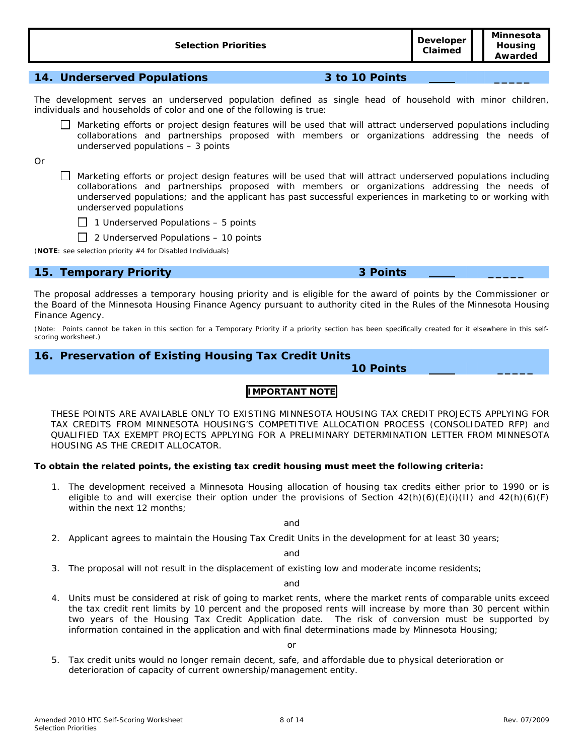| <b>Selection Priorities</b> |                | <b>Developer</b><br>Claimed | www.cov.u<br>Housing<br>Awarded |
|-----------------------------|----------------|-----------------------------|---------------------------------|
|                             |                |                             |                                 |
| 14. Underserved Populations | 3 to 10 Points |                             |                                 |

The development serves an underserved population defined as single head of household with minor children, individuals and households of color and one of the following is true:

Marketing efforts or project design features will be used that will attract underserved populations including collaborations and partnerships proposed with members or organizations addressing the needs of underserved populations – *3 points* 

Or

 Marketing efforts or project design features will be used that will attract underserved populations including collaborations and partnerships proposed with members or organizations addressing the needs of underserved populations; and the applicant has past successful experiences in marketing to or working with underserved populations



2 Underserved Populations – *10 points*

(**NOTE**: see selection priority #4 for Disabled Individuals)

# **15. Temporary Priority 3 Points \_\_\_\_\_**

The proposal addresses a temporary housing priority and is eligible for the award of points by the Commissioner or the Board of the Minnesota Housing Finance Agency pursuant to authority cited in the Rules of the Minnesota Housing Finance Agency.

(Note: Points cannot be taken in this section for a Temporary Priority if a priority section has been specifically created for it elsewhere in this selfscoring worksheet.)

# **16. Preservation of Existing Housing Tax Credit Units**

 **10 Points \_\_\_\_\_** 

# **IMPORTANT NOTE**

THESE POINTS ARE AVAILABLE ONLY TO EXISTING MINNESOTA HOUSING TAX CREDIT PROJECTS APPLYING FOR TAX CREDITS FROM MINNESOTA HOUSING'S COMPETITIVE ALLOCATION PROCESS (CONSOLIDATED RFP) and QUALIFIED TAX EXEMPT PROJECTS APPLYING FOR A PRELIMINARY DETERMINATION LETTER FROM MINNESOTA HOUSING AS THE CREDIT ALLOCATOR.

#### **To obtain the related points, the existing tax credit housing must meet the following criteria:**

1. The development received a Minnesota Housing allocation of housing tax credits either prior to 1990 or is eligible to and will exercise their option under the provisions of Section  $42(h)(6)(E)(i)(I)$  and  $42(h)(6)(F)$ within the next 12 months;

and

2. Applicant agrees to maintain the Housing Tax Credit Units in the development for at least 30 years;

and

3. The proposal will not result in the displacement of existing low and moderate income residents;

and

4. Units must be considered at risk of going to market rents, where the market rents of comparable units exceed the tax credit rent limits by 10 percent and the proposed rents will increase by more than 30 percent within two years of the Housing Tax Credit Application date. The risk of conversion must be supported by information contained in the application and with final determinations made by Minnesota Housing;

5. Tax credit units would no longer remain decent, safe, and affordable due to physical deterioration or deterioration of capacity of current ownership/management entity.

**Minnesota**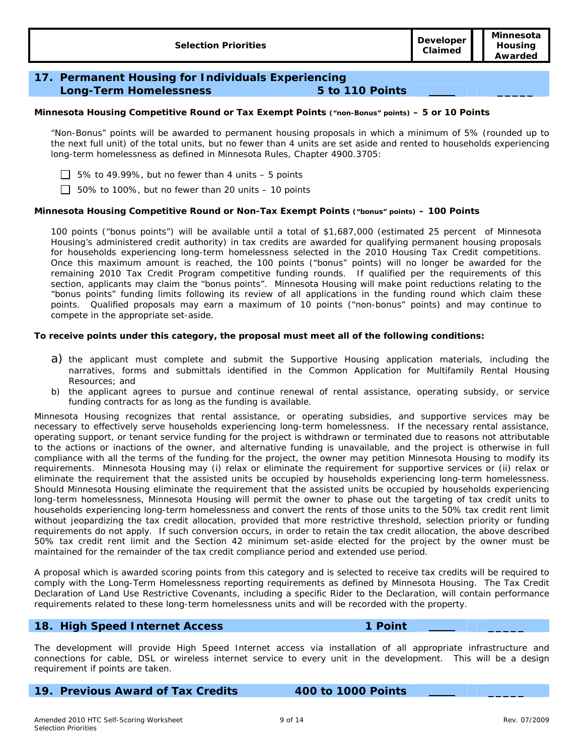# **17. Permanent Housing for Individuals Experiencing Long-Term Homelessness 5 to 110 Points \_\_\_\_\_**

#### **Minnesota Housing Competitive Round or Tax Exempt Points ("non-Bonus" points) –** *5 or 10 Points*

"Non-Bonus" points will be awarded to permanent housing proposals in which a minimum of 5% (rounded up to the next full unit) of the total units, but no fewer than 4 units are set aside and rented to households experiencing long-term homelessness as defined in Minnesota Rules, Chapter 4900.3705:

5% to 49.99%, but no fewer than 4 units – *5 points*

50% to 100%, but no fewer than 20 units – *10 points*

#### **Minnesota Housing Competitive Round or Non-Tax Exempt Points ("bonus" points) –** *100 Points*

100 points ("bonus points") will be available until a total of \$1,687,000 (estimated 25 percent of Minnesota Housing's administered credit authority) in tax credits are awarded for qualifying permanent housing proposals for households experiencing long-term homelessness selected in the 2010 Housing Tax Credit competitions. Once this maximum amount is reached, the 100 points ("bonus" points) will no longer be awarded for the remaining 2010 Tax Credit Program competitive funding rounds. If qualified per the requirements of this section, applicants may claim the "bonus points". Minnesota Housing will make point reductions relating to the "bonus points" funding limits following its review of all applications in the funding round which claim these points. Qualified proposals may earn a maximum of 10 points ("non-bonus" points) and may continue to compete in the appropriate set-aside.

#### **To receive points under this category, the proposal must meet all of the following conditions:**

- a) the applicant must complete and submit the Supportive Housing application materials, including the narratives, forms and submittals identified in the Common Application for Multifamily Rental Housing Resources; and
- b) the applicant agrees to pursue and continue renewal of rental assistance, operating subsidy, or service funding contracts for as long as the funding is available.

Minnesota Housing recognizes that rental assistance, or operating subsidies, and supportive services may be necessary to effectively serve households experiencing long-term homelessness. If the necessary rental assistance, operating support, or tenant service funding for the project is withdrawn or terminated due to reasons not attributable to the actions or inactions of the owner, and alternative funding is unavailable, and the project is otherwise in full compliance with all the terms of the funding for the project, the owner may petition Minnesota Housing to modify its requirements. Minnesota Housing may (i) relax or eliminate the requirement for supportive services or (ii) relax or eliminate the requirement that the assisted units be occupied by households experiencing long-term homelessness. Should Minnesota Housing eliminate the requirement that the assisted units be occupied by households experiencing long-term homelessness, Minnesota Housing will permit the owner to phase out the targeting of tax credit units to households experiencing long-term homelessness and convert the rents of those units to the 50% tax credit rent limit without jeopardizing the tax credit allocation, provided that more restrictive threshold, selection priority or funding requirements do not apply. If such conversion occurs, in order to retain the tax credit allocation, the above described 50% tax credit rent limit and the Section 42 minimum set-aside elected for the project by the owner must be maintained for the remainder of the tax credit compliance period and extended use period.

A proposal which is awarded scoring points from this category and is selected to receive tax credits will be required to comply with the Long-Term Homelessness reporting requirements as defined by Minnesota Housing. The Tax Credit Declaration of Land Use Restrictive Covenants, including a specific Rider to the Declaration, will contain performance requirements related to these long-term homelessness units and will be recorded with the property.

# **18. High Speed Internet Access 1 Point \_\_\_\_\_**

The development will provide High Speed Internet access via installation of all appropriate infrastructure and connections for cable, DSL or wireless internet service to every unit in the development. This will be a design requirement if points are taken.

**19. Previous Award of Tax Credits 400 to 1000 Points \_\_\_\_\_**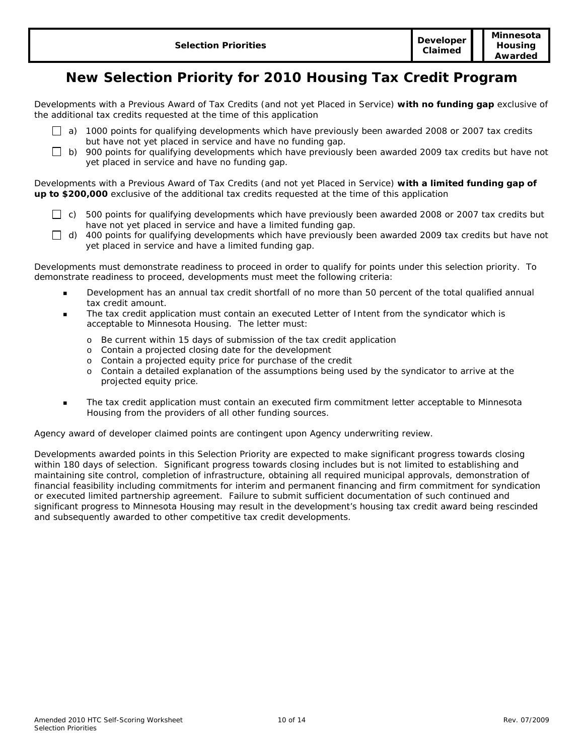# **New Selection Priority for 2010 Housing Tax Credit Program**

Developments with a Previous Award of Tax Credits (and not yet Placed in Service) **with no funding gap** exclusive of the additional tax credits requested at the time of this application

- 
- $\Box$  a) 1000 points for qualifying developments which have previously been awarded 2008 or 2007 tax credits but have not yet placed in service and have no funding gap.
- $\Box$  b) 900 points for qualifying developments which have previously been awarded 2009 tax credits but have not yet placed in service and have no funding gap.

Developments with a Previous Award of Tax Credits (and not yet Placed in Service) **with a limited funding gap of up to \$200,000** exclusive of the additional tax credits requested at the time of this application

- $\Box$  c) 500 points for qualifying developments which have previously been awarded 2008 or 2007 tax credits but have not yet placed in service and have a limited funding gap.
- $\Box$  d) 400 points for qualifying developments which have previously been awarded 2009 tax credits but have not yet placed in service and have a limited funding gap.

Developments must demonstrate readiness to proceed in order to qualify for points under this selection priority. To demonstrate readiness to proceed, developments must meet the following criteria:

- Development has an annual tax credit shortfall of no more than 50 percent of the total qualified annual tax credit amount.
- The tax credit application must contain an executed Letter of Intent from the syndicator which is acceptable to Minnesota Housing. The letter must:
	- o Be current within 15 days of submission of the tax credit application
	- o Contain a projected closing date for the development
	- o Contain a projected equity price for purchase of the credit
	- o Contain a detailed explanation of the assumptions being used by the syndicator to arrive at the projected equity price.
- The tax credit application must contain an executed firm commitment letter acceptable to Minnesota Housing from the providers of all other funding sources.

Agency award of developer claimed points are contingent upon Agency underwriting review.

Developments awarded points in this Selection Priority are expected to make significant progress towards closing within 180 days of selection. Significant progress towards closing includes but is not limited to establishing and maintaining site control, completion of infrastructure, obtaining all required municipal approvals, demonstration of financial feasibility including commitments for interim and permanent financing and firm commitment for syndication or executed limited partnership agreement. Failure to submit sufficient documentation of such continued and significant progress to Minnesota Housing may result in the development's housing tax credit award being rescinded and subsequently awarded to other competitive tax credit developments.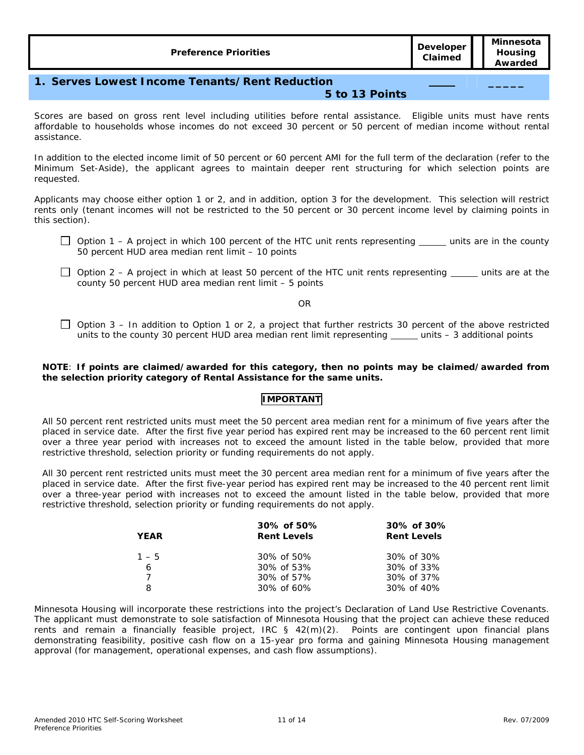**\_\_\_\_\_** 

# **1. Serves Lowest Income Tenants/Rent Reduction**

### **5 to 13 Points**

Scores are based on gross rent level including utilities before rental assistance. Eligible units must have rents affordable to households whose incomes do not exceed 30 percent or 50 percent of median income without rental assistance.

In addition to the elected income limit of 50 percent or 60 percent AMI for the full term of the declaration (refer to the Minimum Set-Aside), the applicant agrees to maintain deeper rent structuring for which selection points are requested.

Applicants may choose either option 1 or 2, and in addition, option 3 for the development. This selection will restrict rents only (tenant incomes will not be restricted to the 50 percent or 30 percent income level by claiming points in this section).

- $\Box$  Option 1 A project in which 100 percent of the HTC unit rents representing  $\Box$  units are in the county 50 percent HUD area median rent limit – *10 points*
- $\Box$  Option 2 A project in which at least 50 percent of the HTC unit rents representing  $\Box$  units are at the county 50 percent HUD area median rent limit – *5 points*

OR

 $\Box$  Option 3 – In addition to Option 1 or 2, a project that further restricts 30 percent of the above restricted units to the county 30 percent HUD area median rent limit representing \_\_\_\_\_ units - 3 additional points

#### **NOTE**: **If points are claimed/awarded for this category, then no points may be claimed/awarded from the selection priority category of Rental Assistance for the same units.**

# **IMPORTANT**

All 50 percent rent restricted units must meet the 50 percent area median rent for a minimum of five years after the placed in service date. After the first five year period has expired rent may be increased to the 60 percent rent limit over a three year period with increases not to exceed the amount listed in the table below, provided that more restrictive threshold, selection priority or funding requirements do not apply.

All 30 percent rent restricted units must meet the 30 percent area median rent for a minimum of five years after the placed in service date. After the first five-year period has expired rent may be increased to the 40 percent rent limit over a three-year period with increases not to exceed the amount listed in the table below, provided that more restrictive threshold, selection priority or funding requirements do not apply.

| <b>YEAR</b> | 30% of 50%<br><b>Rent Levels</b> | 30% of 30%<br><b>Rent Levels</b> |
|-------------|----------------------------------|----------------------------------|
| $1 - 5$     | $30\% \text{ of } 50\%$          | 30% of 30%                       |
| 6           | $30\% \text{ of } 53\%$          | 30% of 33%                       |
|             | $30\% \text{ of } 57\%$          | 30% of 37%                       |
| 8           | 30% of 60%                       | 30% of 40%                       |

Minnesota Housing will incorporate these restrictions into the project's Declaration of Land Use Restrictive Covenants. The applicant must demonstrate to sole satisfaction of Minnesota Housing that the project can achieve these reduced rents and remain a financially feasible project, IRC § 42(m)(2). Points are contingent upon financial plans demonstrating feasibility, positive cash flow on a 15-year pro forma and gaining Minnesota Housing management approval (for management, operational expenses, and cash flow assumptions).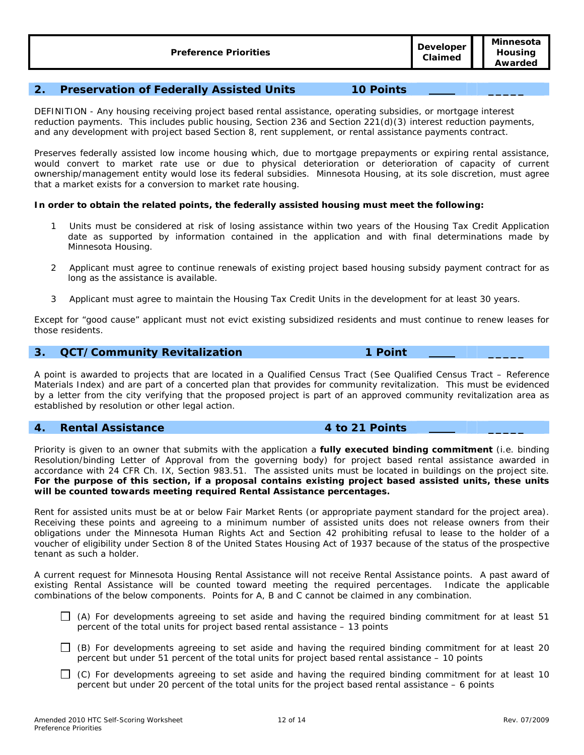# **2. Preservation of Federally Assisted Units 10 Points \_\_\_\_\_**

DEFINITION - Any housing receiving project based rental assistance, operating subsidies, or mortgage interest reduction payments. This includes public housing, Section 236 and Section 221(d)(3) interest reduction payments, and any development with project based Section 8, rent supplement, or rental assistance payments contract.

Preserves federally assisted low income housing which, due to mortgage prepayments or expiring rental assistance, would convert to market rate use or due to physical deterioration or deterioration of capacity of current ownership/management entity would lose its federal subsidies. Minnesota Housing, at its sole discretion, must agree that a market exists for a conversion to market rate housing.

#### **In order to obtain the related points, the federally assisted housing must meet the following:**

- 1 Units must be considered at risk of losing assistance within two years of the Housing Tax Credit Application date as supported by information contained in the application and with final determinations made by Minnesota Housing.
- 2 Applicant must agree to continue renewals of existing project based housing subsidy payment contract for as long as the assistance is available.
- 3 Applicant must agree to maintain the Housing Tax Credit Units in the development for at least 30 years.

Except for "good cause" applicant must not evict existing subsidized residents and must continue to renew leases for those residents.

### **3. QCT/Community Revitalization 1 Point \_\_\_\_\_**

A point is awarded to projects that are located in a Qualified Census Tract (See Qualified Census Tract – Reference Materials Index) and are part of a concerted plan that provides for community revitalization. This must be evidenced by a letter from the city verifying that the proposed project is part of an approved community revitalization area as established by resolution or other legal action.

#### **4. Rental Assistance 4 to 21 Points \_\_\_\_\_**

Priority is given to an owner that submits with the application a **fully executed binding commitment** (i.e. binding Resolution/binding Letter of Approval from the governing body) for project based rental assistance awarded in accordance with 24 CFR Ch. IX, Section 983.51. The assisted units must be located in buildings on the project site. **For the purpose of this section, if a proposal contains existing project based assisted units, these units will be counted towards meeting required Rental Assistance percentages.** 

Rent for assisted units must be at or below Fair Market Rents (or appropriate payment standard for the project area). Receiving these points and agreeing to a minimum number of assisted units does not release owners from their obligations under the Minnesota Human Rights Act and Section 42 prohibiting refusal to lease to the holder of a voucher of eligibility under Section 8 of the United States Housing Act of 1937 because of the status of the prospective tenant as such a holder.

A current request for Minnesota Housing Rental Assistance will not receive Rental Assistance points. A past award of existing Rental Assistance will be counted toward meeting the required percentages. Indicate the applicable combinations of the below components. Points for A, B and C cannot be claimed in any combination.

- $\Box$  (A) For developments agreeing to set aside and having the required binding commitment for at least 51 percent of the total units for project based rental assistance – *13 points*
- $\Box$  (B) For developments agreeing to set aside and having the required binding commitment for at least 20 percent but under 51 percent of the total units for project based rental assistance – *10 points*
- $\Box$  (C) For developments agreeing to set aside and having the required binding commitment for at least 10 percent but under 20 percent of the total units for the project based rental assistance – *6 points*

**Claimed**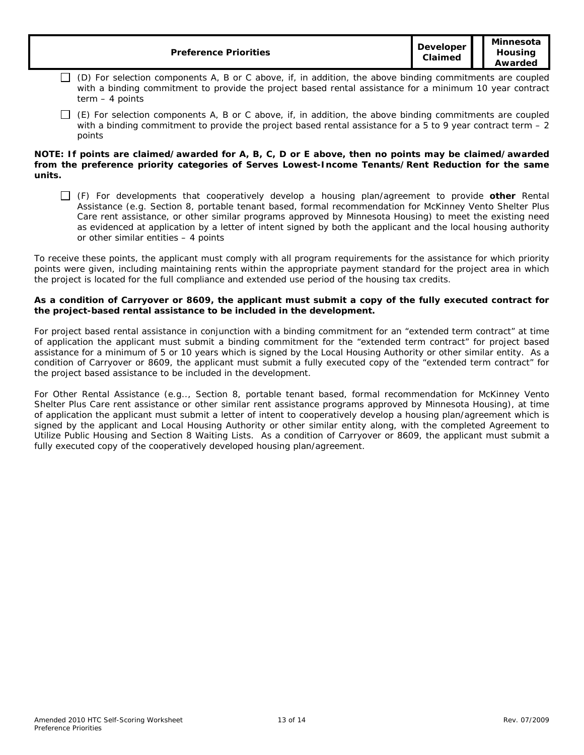| <b>Preference Priorities</b> | <b>Developer</b><br>Claimed | Minnesota<br>Housing<br>Awarded |
|------------------------------|-----------------------------|---------------------------------|
|------------------------------|-----------------------------|---------------------------------|

- $\Box$  (D) For selection components A, B or C above, if, in addition, the above binding commitments are coupled with a binding commitment to provide the project based rental assistance for a minimum 10 year contract term – *4 points*
- $\Box$  (E) For selection components A, B or C above, if, in addition, the above binding commitments are coupled with a binding commitment to provide the project based rental assistance for a 5 to 9 year contract term  $-2$ *points*

#### **NOTE: If points are claimed/awarded for A, B, C, D or E above, then no points may be claimed/awarded from the preference priority categories of Serves Lowest-Income Tenants/Rent Reduction for the same units.**

 (F) For developments that cooperatively develop a housing plan/agreement to provide **other** Rental Assistance (e.g. Section 8, portable tenant based, formal recommendation for McKinney Vento Shelter Plus Care rent assistance, or other similar programs approved by Minnesota Housing) to meet the existing need as evidenced at application by a letter of intent signed by both the applicant and the local housing authority or other similar entities – *4 points*

To receive these points, the applicant must comply with all program requirements for the assistance for which priority points were given, including maintaining rents within the appropriate payment standard for the project area in which the project is located for the full compliance and extended use period of the housing tax credits.

#### **As a condition of Carryover or 8609, the applicant must submit a copy of the fully executed contract for the project-based rental assistance to be included in the development.**

For project based rental assistance in conjunction with a binding commitment for an "extended term contract" at time of application the applicant must submit a binding commitment for the "extended term contract" for project based assistance for a minimum of 5 or 10 years which is signed by the Local Housing Authority or other similar entity. As a condition of Carryover or 8609, the applicant must submit a fully executed copy of the "extended term contract" for the project based assistance to be included in the development.

For Other Rental Assistance (e.g.., Section 8, portable tenant based, formal recommendation for McKinney Vento Shelter Plus Care rent assistance or other similar rent assistance programs approved by Minnesota Housing), at time of application the applicant must submit a letter of intent to cooperatively develop a housing plan/agreement which is signed by the applicant and Local Housing Authority or other similar entity along, with the completed Agreement to Utilize Public Housing and Section 8 Waiting Lists. As a condition of Carryover or 8609, the applicant must submit a fully executed copy of the cooperatively developed housing plan/agreement.